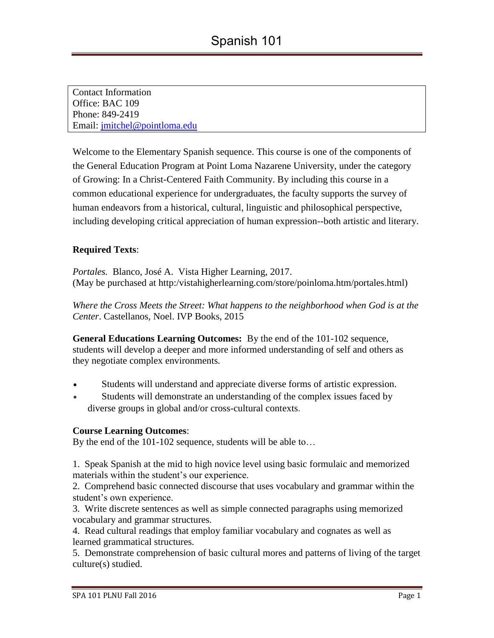Contact Information Office: BAC 109 Phone: 849-2419 Email: [jmitchel@pointloma.edu](mailto:jmitchel@pointloma.edu)

Welcome to the Elementary Spanish sequence. This course is one of the components of the General Education Program at Point Loma Nazarene University, under the category of Growing: In a Christ-Centered Faith Community. By including this course in a common educational experience for undergraduates, the faculty supports the survey of human endeavors from a historical, cultural, linguistic and philosophical perspective, including developing critical appreciation of human expression--both artistic and literary.

# **Required Texts**:

*Portales.* Blanco, José A. Vista Higher Learning, 2017. (May be purchased at http:/vistahigherlearning.com/store/poinloma.htm/portales.html)

*Where the Cross Meets the Street: What happens to the neighborhood when God is at the Center*. Castellanos, Noel. IVP Books, 2015

**General Educations Learning Outcomes:** By the end of the 101-102 sequence, students will develop a deeper and more informed understanding of self and others as they negotiate complex environments*.*

- Students will understand and appreciate diverse forms of artistic expression.
- Students will demonstrate an understanding of the complex issues faced by diverse groups in global and/or cross-cultural contexts.

### **Course Learning Outcomes**:

By the end of the 101-102 sequence, students will be able to…

1. Speak Spanish at the mid to high novice level using basic formulaic and memorized materials within the student's our experience.

2. Comprehend basic connected discourse that uses vocabulary and grammar within the student's own experience.

3. Write discrete sentences as well as simple connected paragraphs using memorized vocabulary and grammar structures.

4. Read cultural readings that employ familiar vocabulary and cognates as well as learned grammatical structures.

5. Demonstrate comprehension of basic cultural mores and patterns of living of the target culture(s) studied.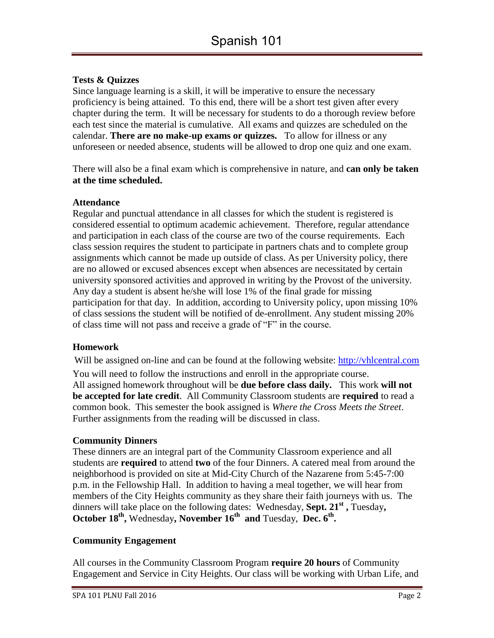## **Tests & Quizzes**

Since language learning is a skill, it will be imperative to ensure the necessary proficiency is being attained. To this end, there will be a short test given after every chapter during the term. It will be necessary for students to do a thorough review before each test since the material is cumulative. All exams and quizzes are scheduled on the calendar. **There are no make-up exams or quizzes.** To allow for illness or any unforeseen or needed absence, students will be allowed to drop one quiz and one exam.

There will also be a final exam which is comprehensive in nature, and **can only be taken at the time scheduled.**

#### **Attendance**

Regular and punctual attendance in all classes for which the student is registered is considered essential to optimum academic achievement. Therefore, regular attendance and participation in each class of the course are two of the course requirements. Each class session requires the student to participate in partners chats and to complete group assignments which cannot be made up outside of class. As per University policy, there are no allowed or excused absences except when absences are necessitated by certain university sponsored activities and approved in writing by the Provost of the university. Any day a student is absent he/she will lose 1% of the final grade for missing participation for that day. In addition, according to University policy, upon missing 10% of class sessions the student will be notified of de-enrollment. Any student missing 20% of class time will not pass and receive a grade of "F" in the course.

### **Homework**

Will be assigned on-line and can be found at the following website: [http://vhlcentral.com](http://vhlcentral.com/) You will need to follow the instructions and enroll in the appropriate course. All assigned homework throughout will be **due before class daily.** This work **will not be accepted for late credit**. All Community Classroom students are **required** to read a common book. This semester the book assigned is *Where the Cross Meets the Street*. Further assignments from the reading will be discussed in class.

### **Community Dinners**

These dinners are an integral part of the Community Classroom experience and all students are **required** to attend **two** of the four Dinners. A catered meal from around the neighborhood is provided on site at Mid-City Church of the Nazarene from 5:45-7:00 p.m. in the Fellowship Hall. In addition to having a meal together, we will hear from members of the City Heights community as they share their faith journeys with us. The dinners will take place on the following dates: Wednesday, **Sept. 21st ,** Tuesday**,** October 18<sup>th</sup>, Wednesday, November 16<sup>th</sup> and Tuesday, Dec. 6<sup>th</sup>.

### **Community Engagement**

All courses in the Community Classroom Program **require 20 hours** of Community Engagement and Service in City Heights. Our class will be working with Urban Life, and